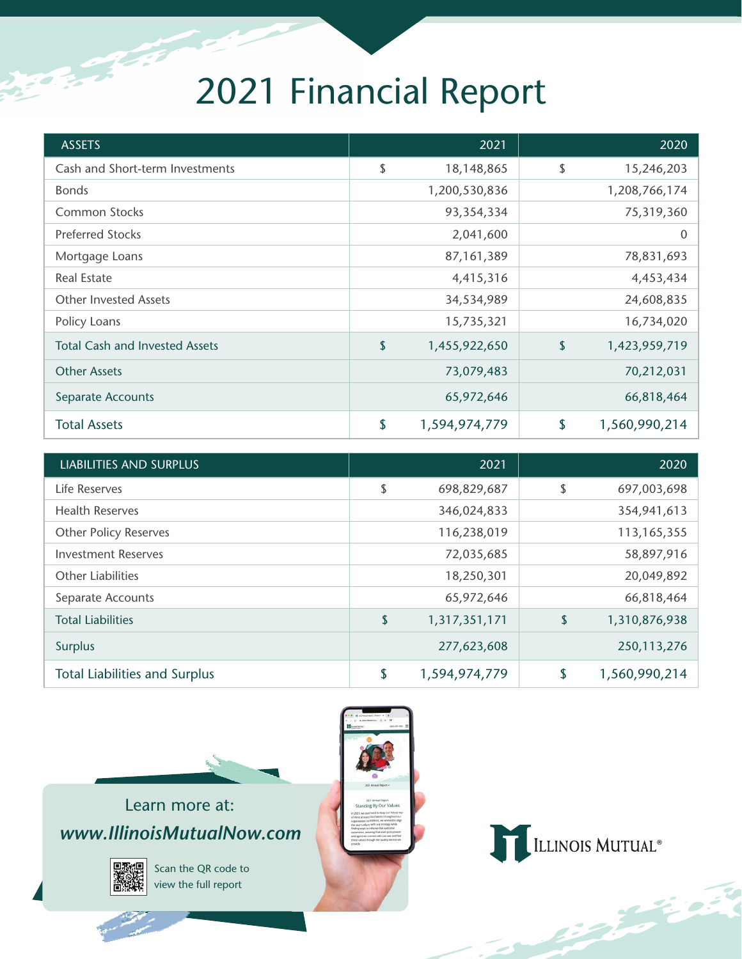## 2021 Financial Report

**CONTRACTOR** 

| <b>ASSETS</b>                         |                           | 2021          | 2020                |
|---------------------------------------|---------------------------|---------------|---------------------|
| Cash and Short-term Investments       | \$                        | 18,148,865    | \$<br>15,246,203    |
| <b>Bonds</b>                          |                           | 1,200,530,836 | 1,208,766,174       |
| Common Stocks                         |                           | 93,354,334    | 75,319,360          |
| <b>Preferred Stocks</b>               |                           | 2,041,600     | 0                   |
| Mortgage Loans                        |                           | 87,161,389    | 78,831,693          |
| <b>Real Estate</b>                    |                           | 4,415,316     | 4,453,434           |
| <b>Other Invested Assets</b>          |                           | 34,534,989    | 24,608,835          |
| Policy Loans                          |                           | 15,735,321    | 16,734,020          |
| <b>Total Cash and Invested Assets</b> | $\boldsymbol{\mathsf{S}}$ | 1,455,922,650 | \$<br>1,423,959,719 |
| <b>Other Assets</b>                   |                           | 73,079,483    | 70,212,031          |
| Separate Accounts                     |                           | 65,972,646    | 66,818,464          |
| <b>Total Assets</b>                   | \$                        | 1,594,974,779 | \$<br>1,560,990,214 |

| <b>LIABILITIES AND SURPLUS</b>       |            | 2021          | 2020                |
|--------------------------------------|------------|---------------|---------------------|
| Life Reserves                        | \$         | 698,829,687   | \$<br>697,003,698   |
| <b>Health Reserves</b>               |            | 346,024,833   | 354,941,613         |
| <b>Other Policy Reserves</b>         |            | 116,238,019   | 113, 165, 355       |
| <b>Investment Reserves</b>           |            | 72,035,685    | 58,897,916          |
| <b>Other Liabilities</b>             |            | 18,250,301    | 20,049,892          |
| Separate Accounts                    |            | 65,972,646    | 66,818,464          |
| <b>Total Liabilities</b>             | $\sqrt{2}$ | 1,317,351,171 | \$<br>1,310,876,938 |
| <b>Surplus</b>                       |            | 277,623,608   | 250,113,276         |
| <b>Total Liabilities and Surplus</b> | \$         | 1,594,974,779 | \$<br>1,560,990,214 |